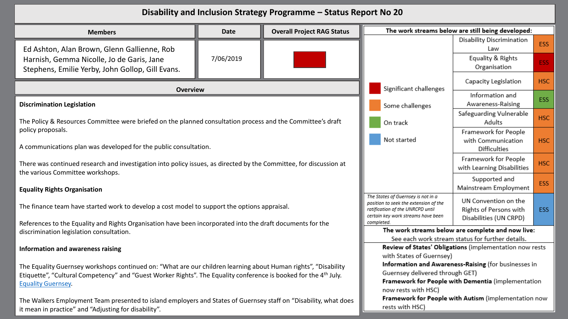| Disability and Inclusion Strategy Programme - Status Report No 20                                                                                                        |                                                                                                                                                                     |                                                                          |                                                      |                                                         |            |
|--------------------------------------------------------------------------------------------------------------------------------------------------------------------------|---------------------------------------------------------------------------------------------------------------------------------------------------------------------|--------------------------------------------------------------------------|------------------------------------------------------|---------------------------------------------------------|------------|
| <b>Overall Project RAG Status</b><br><b>Date</b><br><b>Members</b>                                                                                                       |                                                                                                                                                                     |                                                                          | The work streams below are still being developed:    |                                                         |            |
| Ed Ashton, Alan Brown, Glenn Gallienne, Rob                                                                                                                              |                                                                                                                                                                     |                                                                          |                                                      | Disability Discrimination<br>Law                        | ESS        |
| Harnish, Gemma Nicolle, Jo de Garis, Jane<br>Stephens, Emilie Yerby, John Gollop, Gill Evans.                                                                            | 7/06/2019                                                                                                                                                           |                                                                          |                                                      | Equality & Rights<br>Organisation                       | <b>ESS</b> |
| <b>Overview</b>                                                                                                                                                          |                                                                                                                                                                     |                                                                          | Significant challenges                               | Capacity Legislation                                    | <b>HSC</b> |
| <b>Discrimination Legislation</b>                                                                                                                                        |                                                                                                                                                                     |                                                                          | Some challenges                                      | Information and<br>Awareness-Raising                    | ESS        |
| The Policy & Resources Committee were briefed on the planned consultation process and the Committee's draft                                                              |                                                                                                                                                                     |                                                                          | On track                                             | Safeguarding Vulnerable<br>Adults                       | <b>HSC</b> |
| policy proposals.<br>A communications plan was developed for the public consultation.                                                                                    | Not started                                                                                                                                                         | Framework for People<br>with Communication<br><b>Difficulties</b>        | <b>HSC</b>                                           |                                                         |            |
| There was continued research and investigation into policy issues, as directed by the Committee, for discussion at<br>the various Committee workshops.                   |                                                                                                                                                                     | Framework for People<br>with Learning Disabilities                       | <b>HSC</b>                                           |                                                         |            |
| <b>Equality Rights Organisation</b>                                                                                                                                      |                                                                                                                                                                     | Supported and<br>Mainstream Employment                                   | ESS                                                  |                                                         |            |
| The finance team have started work to develop a cost model to support the options appraisal.                                                                             | The States of Guernsey is not in a<br>position to seek the extension of the<br>ratification of the UNRCPD until<br>certain key work streams have been<br>completed. | UN Convention on the<br>Rights of Persons with<br>Disabilities (UN CRPD) | ESS                                                  |                                                         |            |
| References to the Equality and Rights Organisation have been incorporated into the draft documents for the<br>discrimination legislation consultation.                   |                                                                                                                                                                     |                                                                          | The work streams below are complete and now live:    |                                                         |            |
|                                                                                                                                                                          |                                                                                                                                                                     |                                                                          | See each work stream status for further details.     |                                                         |            |
| Information and awareness raising                                                                                                                                        |                                                                                                                                                                     |                                                                          |                                                      | Review of States' Obligations (implementation now rests |            |
|                                                                                                                                                                          |                                                                                                                                                                     |                                                                          | with States of Guernsey)                             |                                                         |            |
| The Equality Guernsey workshops continued on: "What are our children learning about Human rights", "Disability                                                           |                                                                                                                                                                     |                                                                          |                                                      | Information and Awareness-Raising (for businesses in    |            |
| Etiquette", "Cultural Competency" and "Guest Worker Rights". The Equality conference is booked for the 4 <sup>th</sup> July.                                             |                                                                                                                                                                     |                                                                          | Guernsey delivered through GET)                      | Framework for People with Dementia (implementation      |            |
| <b>Equality Guernsey.</b>                                                                                                                                                |                                                                                                                                                                     |                                                                          | now rests with HSC)                                  |                                                         |            |
|                                                                                                                                                                          |                                                                                                                                                                     |                                                                          | Framework for People with Autism (implementation now |                                                         |            |
| The Walkers Employment Team presented to island employers and States of Guernsey staff on "Disability, what does<br>it mean in practice" and "Adjusting for disability". |                                                                                                                                                                     |                                                                          | rests with HSC)                                      |                                                         |            |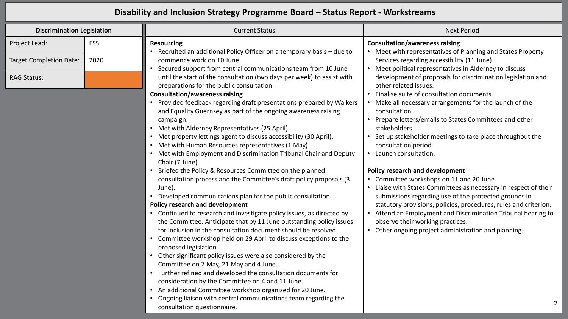## **Disability and Inclusion Strategy Programme Board – Status Report - Workstreams**

| <b>Discrimination Legislation</b> |      | <b>Current Status</b>                                                                                                                                                                                          | <b>Next Period</b>                                                                                                                                              |
|-----------------------------------|------|----------------------------------------------------------------------------------------------------------------------------------------------------------------------------------------------------------------|-----------------------------------------------------------------------------------------------------------------------------------------------------------------|
| Project Lead:                     | ESS  | <b>Resourcing</b><br>Recruited an additional Policy Officer on a temporary basis – due to                                                                                                                      | <b>Consultation/awareness raising</b><br>Meet with representatives of Planning and States Property                                                              |
| <b>Target Completion Date:</b>    | 2020 | commence work on 10 June.<br>Secured support from central communications team from 10 June                                                                                                                     | Services regarding accessibility (11 June).<br>Meet political representatives in Alderney to discuss                                                            |
| <b>RAG Status:</b>                |      | until the start of the consultation (two days per week) to assist with<br>preparations for the public consultation.                                                                                            | development of proposals for discrimination legislation and<br>other related issues.                                                                            |
|                                   |      | <b>Consultation/awareness raising</b><br>• Provided feedback regarding draft presentations prepared by Walkers                                                                                                 | Finalise suite of consultation documents.<br>Make all necessary arrangements for the launch of the                                                              |
|                                   |      | and Equality Guernsey as part of the ongoing awareness raising<br>campaign.<br>• Met with Alderney Representatives (25 April).                                                                                 | consultation.<br>Prepare letters/emails to States Committees and other<br>stakeholders.                                                                         |
|                                   |      | • Met property lettings agent to discuss accessibility (30 April).<br>• Met with Human Resources representatives (1 May).                                                                                      | Set up stakeholder meetings to take place throughout the<br>consultation period.                                                                                |
|                                   |      | • Met with Employment and Discrimination Tribunal Chair and Deputy<br>Chair (7 June).                                                                                                                          | Launch consultation.<br>$\bullet$                                                                                                                               |
|                                   |      | • Briefed the Policy & Resources Committee on the planned<br>consultation process and the Committee's draft policy proposals (3<br>June).                                                                      | <b>Policy research and development</b><br>Committee workshops on 11 and 20 June.<br>Liaise with States Committees as necessary in respect of their<br>$\bullet$ |
|                                   |      | • Developed communications plan for the public consultation.<br>Policy research and development                                                                                                                | submissions regarding use of the protected grounds in<br>statutory provisions, policies, procedures, rules and criterion.                                       |
|                                   |      | • Continued to research and investigate policy issues, as directed by<br>the Committee. Anticipate that by 11 June outstanding policy issues<br>for inclusion in the consultation document should be resolved. | Attend an Employment and Discrimination Tribunal hearing to<br>observe their working practices.<br>Other ongoing project administration and planning.           |
|                                   |      | • Committee workshop held on 29 April to discuss exceptions to the<br>proposed legislation.                                                                                                                    |                                                                                                                                                                 |
|                                   |      | • Other significant policy issues were also considered by the<br>Committee on 7 May, 21 May and 4 June.                                                                                                        |                                                                                                                                                                 |
|                                   |      | • Further refined and developed the consultation documents for                                                                                                                                                 |                                                                                                                                                                 |

- consideration by the Committee on 4 and 11 June.
- An additional Committee workshop organised for 20 June.
- Ongoing liaison with central communications team regarding the consultation questionnaire.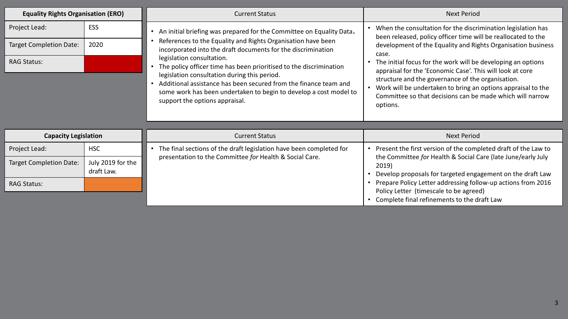| <b>Equality Rights Organisation (ERO)</b> |                                 | <b>Current Status</b>                                                                                                                                                                                                   | <b>Next Period</b>                                                                                                                                                                         |
|-------------------------------------------|---------------------------------|-------------------------------------------------------------------------------------------------------------------------------------------------------------------------------------------------------------------------|--------------------------------------------------------------------------------------------------------------------------------------------------------------------------------------------|
| Project Lead:                             | <b>ESS</b>                      | An initial briefing was prepared for the Committee on Equality Data.                                                                                                                                                    | When the consultation for the discrimination legislation has<br>been released, policy officer time will be reallocated to the                                                              |
| <b>Target Completion Date:</b>            | 2020                            | References to the Equality and Rights Organisation have been<br>incorporated into the draft documents for the discrimination                                                                                            | development of the Equality and Rights Organisation business<br>case.                                                                                                                      |
| <b>RAG Status:</b>                        |                                 | legislation consultation.<br>The policy officer time has been prioritised to the discrimination                                                                                                                         | The initial focus for the work will be developing an options<br>appraisal for the 'Economic Case'. This will look at core                                                                  |
|                                           |                                 | legislation consultation during this period.<br>Additional assistance has been secured from the finance team and<br>some work has been undertaken to begin to develop a cost model to<br>support the options appraisal. | structure and the governance of the organisation.<br>Work will be undertaken to bring an options appraisal to the<br>Committee so that decisions can be made which will narrow<br>options. |
|                                           |                                 |                                                                                                                                                                                                                         |                                                                                                                                                                                            |
| <b>Capacity Legislation</b>               |                                 | <b>Current Status</b>                                                                                                                                                                                                   | <b>Next Period</b>                                                                                                                                                                         |
| Project Lead:                             | <b>HSC</b>                      | The final sections of the draft legislation have been completed for                                                                                                                                                     | Present the first version of the completed draft of the Law to                                                                                                                             |
| <b>Target Completion Date:</b>            | July 2019 for the<br>draft Law. | presentation to the Committee for Health & Social Care.                                                                                                                                                                 | the Committee for Health & Social Care (late June/early July<br>2019)<br>Develop proposals for targeted engagement on the draft Law                                                        |
| <b>RAG Status:</b>                        |                                 |                                                                                                                                                                                                                         | Prepare Policy Letter addressing follow-up actions from 2016<br>Policy Letter (timescale to be agreed)                                                                                     |
|                                           |                                 |                                                                                                                                                                                                                         | Complete final refinements to the draft Law                                                                                                                                                |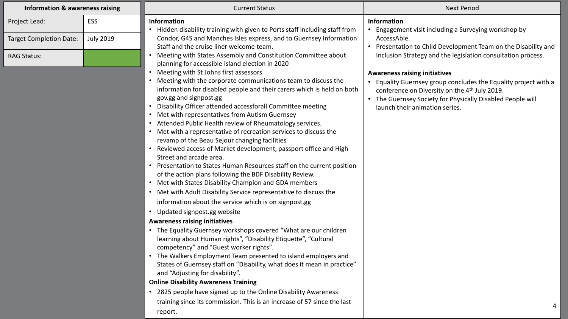| <b>Information &amp; awareness raising</b> |                  | <b>Current Status</b>                                                                                                             | <b>Next Period</b>                                                                                                           |
|--------------------------------------------|------------------|-----------------------------------------------------------------------------------------------------------------------------------|------------------------------------------------------------------------------------------------------------------------------|
| Project Lead:                              | ESS              | <b>Information</b>                                                                                                                | <b>Information</b>                                                                                                           |
|                                            |                  | Hidden disability training with given to Ports staff including staff from                                                         | Engagement visit including a Surveying workshop by                                                                           |
| <b>Target Completion Date:</b>             | <b>July 2019</b> | Condor, G4S and Manches Isles express, and to Guernsey Information<br>Staff and the cruise liner welcome team.                    | AccessAble.                                                                                                                  |
| <b>RAG Status:</b>                         |                  | Meeting with States Assembly and Constitution Committee about                                                                     | Presentation to Child Development Team on the Disability and<br>Inclusion Strategy and the legislation consultation process. |
|                                            |                  | planning for accessible island election in 2020                                                                                   |                                                                                                                              |
|                                            |                  | Meeting with St Johns first assessors                                                                                             | <b>Awareness raising initiatives</b>                                                                                         |
|                                            |                  | Meeting with the corporate communications team to discuss the                                                                     | Equality Guernsey group concludes the Equality project with a                                                                |
|                                            |                  | information for disabled people and their carers which is held on both                                                            | conference on Diversity on the 4 <sup>th</sup> July 2019.                                                                    |
|                                            |                  | gov.gg and signpost.gg                                                                                                            | The Guernsey Society for Physically Disabled People will                                                                     |
|                                            |                  | Disability Officer attended accessforall Committee meeting<br>Met with representatives from Autism Guernsey                       | launch their animation series.                                                                                               |
|                                            |                  | Attended Public Health review of Rheumatology services.                                                                           |                                                                                                                              |
|                                            |                  | Met with a representative of recreation services to discuss the                                                                   |                                                                                                                              |
|                                            |                  | revamp of the Beau Sejour changing facilities                                                                                     |                                                                                                                              |
|                                            |                  | Reviewed access of Market development, passport office and High                                                                   |                                                                                                                              |
|                                            |                  | Street and arcade area.                                                                                                           |                                                                                                                              |
|                                            |                  | Presentation to States Human Resources staff on the current position                                                              |                                                                                                                              |
|                                            |                  | of the action plans following the BDF Disability Review.                                                                          |                                                                                                                              |
|                                            |                  | • Met with States Disability Champion and GDA members                                                                             |                                                                                                                              |
|                                            |                  | Met with Adult Disability Service representative to discuss the                                                                   |                                                                                                                              |
|                                            |                  | information about the service which is on signpost.gg                                                                             |                                                                                                                              |
|                                            |                  | Updated signpost.gg website                                                                                                       |                                                                                                                              |
|                                            |                  | <b>Awareness raising initiatives</b>                                                                                              |                                                                                                                              |
|                                            |                  | The Equality Guernsey workshops covered "What are our children<br>learning about Human rights", "Disability Etiquette", "Cultural |                                                                                                                              |
|                                            |                  | competency" and "Guest worker rights".                                                                                            |                                                                                                                              |
|                                            |                  | The Walkers Employment Team presented to island employers and                                                                     |                                                                                                                              |
|                                            |                  | States of Guernsey staff on "Disability, what does it mean in practice"                                                           |                                                                                                                              |
|                                            |                  | and "Adjusting for disability".                                                                                                   |                                                                                                                              |
|                                            |                  | <b>Online Disability Awareness Training</b>                                                                                       |                                                                                                                              |
|                                            |                  | 2825 people have signed up to the Online Disability Awareness                                                                     |                                                                                                                              |
|                                            |                  | training since its commission. This is an increase of 57 since the last                                                           |                                                                                                                              |
|                                            |                  | report.                                                                                                                           |                                                                                                                              |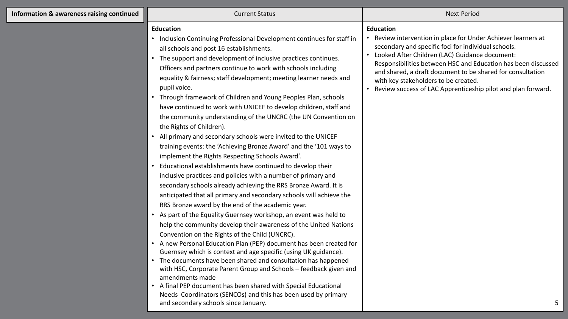| Information & awareness raising continued |  |
|-------------------------------------------|--|
|-------------------------------------------|--|

## **Current Status Next Period** Next Period Next Period Next Period Next Period Next Period

## **Education**

- Inclusion Continuing Professional Development continues for staff in all schools and post 16 establishments.
- The support and development of inclusive practices continues. Officers and partners continue to work with schools including equality & fairness; staff development; meeting learner needs and pupil voice.
- Through framework of Children and Young Peoples Plan, schools have continued to work with UNICEF to develop children, staff and the community understanding of the UNCRC (the UN Convention on the Rights of Children).
- All primary and secondary schools were invited to the UNICEF training events: the 'Achieving Bronze Award' and the '101 ways to implement the Rights Respecting Schools Award'.
- Educational establishments have continued to develop their inclusive practices and policies with a number of primary and secondary schools already achieving the RRS Bronze Award. It is anticipated that all primary and secondary schools will achieve the RRS Bronze award by the end of the academic year.
- As part of the Equality Guernsey workshop, an event was held to help the community develop their awareness of the United Nations Convention on the Rights of the Child (UNCRC).
- A new Personal Education Plan (PEP) document has been created for Guernsey which is context and age specific (using UK guidance).
- The documents have been shared and consultation has happened with HSC, Corporate Parent Group and Schools – feedback given and amendments made
- A final PEP document has been shared with Special Educational Needs Coordinators (SENCOs) and this has been used by primary and secondary schools since January.

## **Education**

- Review intervention in place for Under Achiever learners at secondary and specific foci for individual schools.
- Looked After Children (LAC) Guidance document: Responsibilities between HSC and Education has been discussed and shared, a draft document to be shared for consultation with key stakeholders to be created.
- Review success of LAC Apprenticeship pilot and plan forward.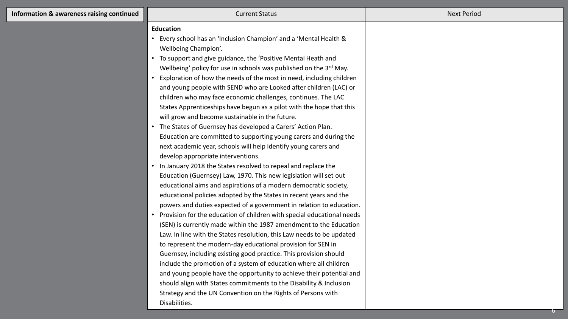| <b>Education</b><br>• Every school has an 'Inclusion Champion' and a 'Mental Health &<br>Wellbeing Champion'.<br>• To support and give guidance, the 'Positive Mental Heath and<br>Wellbeing' policy for use in schools was published on the 3rd May.<br>• Exploration of how the needs of the most in need, including children<br>and young people with SEND who are Looked after children (LAC) or<br>children who may face economic challenges, continues. The LAC<br>States Apprenticeships have begun as a pilot with the hope that this<br>will grow and become sustainable in the future.<br>• The States of Guernsey has developed a Carers' Action Plan.<br>Education are committed to supporting young carers and during the<br>next academic year, schools will help identify young carers and<br>develop appropriate interventions.<br>• In January 2018 the States resolved to repeal and replace the<br>Education (Guernsey) Law, 1970. This new legislation will set out<br>educational aims and aspirations of a modern democratic society,<br>educational policies adopted by the States in recent years and the<br>powers and duties expected of a government in relation to education.<br>Provision for the education of children with special educational needs<br>(SEN) is currently made within the 1987 amendment to the Education<br>Law. In line with the States resolution, this Law needs to be updated<br>to represent the modern-day educational provision for SEN in<br>Guernsey, including existing good practice. This provision should<br>include the promotion of a system of education where all children | and young people have the opportunity to achieve their potential and<br>should align with States commitments to the Disability & Inclusion<br>Strategy and the UN Convention on the Rights of Persons with | Information & awareness raising continued | <b>Current Status</b> | <b>Next Period</b> |
|----------------------------------------------------------------------------------------------------------------------------------------------------------------------------------------------------------------------------------------------------------------------------------------------------------------------------------------------------------------------------------------------------------------------------------------------------------------------------------------------------------------------------------------------------------------------------------------------------------------------------------------------------------------------------------------------------------------------------------------------------------------------------------------------------------------------------------------------------------------------------------------------------------------------------------------------------------------------------------------------------------------------------------------------------------------------------------------------------------------------------------------------------------------------------------------------------------------------------------------------------------------------------------------------------------------------------------------------------------------------------------------------------------------------------------------------------------------------------------------------------------------------------------------------------------------------------------------------------------------------------------------------|------------------------------------------------------------------------------------------------------------------------------------------------------------------------------------------------------------|-------------------------------------------|-----------------------|--------------------|
| Disabilities.                                                                                                                                                                                                                                                                                                                                                                                                                                                                                                                                                                                                                                                                                                                                                                                                                                                                                                                                                                                                                                                                                                                                                                                                                                                                                                                                                                                                                                                                                                                                                                                                                                |                                                                                                                                                                                                            |                                           |                       |                    |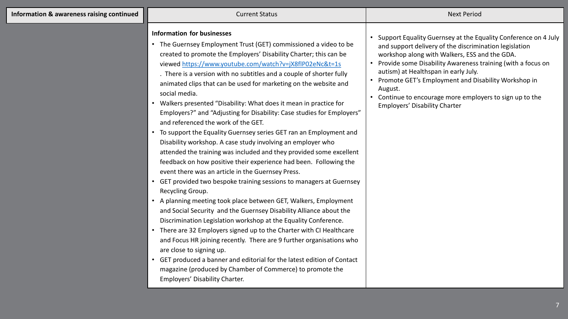| Information & awareness raising continued | <b>Current Status</b>                                                                                                                                                                                                                                                                                                                                                                                                                                                                                                                                                                                                                                                                                                                                                                                                                                                                                                                                                                                                                                                                                                                                                                                                                                                                                                                                                                                                                                                                                                                                                                                      | <b>Next Period</b>                                                                                                                                                                                                                                                                                                                                                                                                                                         |
|-------------------------------------------|------------------------------------------------------------------------------------------------------------------------------------------------------------------------------------------------------------------------------------------------------------------------------------------------------------------------------------------------------------------------------------------------------------------------------------------------------------------------------------------------------------------------------------------------------------------------------------------------------------------------------------------------------------------------------------------------------------------------------------------------------------------------------------------------------------------------------------------------------------------------------------------------------------------------------------------------------------------------------------------------------------------------------------------------------------------------------------------------------------------------------------------------------------------------------------------------------------------------------------------------------------------------------------------------------------------------------------------------------------------------------------------------------------------------------------------------------------------------------------------------------------------------------------------------------------------------------------------------------------|------------------------------------------------------------------------------------------------------------------------------------------------------------------------------------------------------------------------------------------------------------------------------------------------------------------------------------------------------------------------------------------------------------------------------------------------------------|
|                                           | <b>Information for businesses</b><br>• The Guernsey Employment Trust (GET) commissioned a video to be<br>created to promote the Employers' Disability Charter; this can be<br>viewed https://www.youtube.com/watch?v=jX8flP02eNc&t=1s<br>. There is a version with no subtitles and a couple of shorter fully<br>animated clips that can be used for marketing on the website and<br>social media.<br>• Walkers presented "Disability: What does it mean in practice for<br>Employers?" and "Adjusting for Disability: Case studies for Employers"<br>and referenced the work of the GET.<br>• To support the Equality Guernsey series GET ran an Employment and<br>Disability workshop. A case study involving an employer who<br>attended the training was included and they provided some excellent<br>feedback on how positive their experience had been. Following the<br>event there was an article in the Guernsey Press.<br>• GET provided two bespoke training sessions to managers at Guernsey<br>Recycling Group.<br>• A planning meeting took place between GET, Walkers, Employment<br>and Social Security and the Guernsey Disability Alliance about the<br>Discrimination Legislation workshop at the Equality Conference.<br>• There are 32 Employers signed up to the Charter with CI Healthcare<br>and Focus HR joining recently. There are 9 further organisations who<br>are close to signing up.<br>GET produced a banner and editorial for the latest edition of Contact<br>$\bullet$<br>magazine (produced by Chamber of Commerce) to promote the<br>Employers' Disability Charter. | • Support Equality Guernsey at the Equality Conference on 4 July<br>and support delivery of the discrimination legislation<br>workshop along with Walkers, ESS and the GDA.<br>Provide some Disability Awareness training (with a focus on<br>autism) at Healthspan in early July.<br>• Promote GET's Employment and Disability Workshop in<br>August.<br>• Continue to encourage more employers to sign up to the<br><b>Employers' Disability Charter</b> |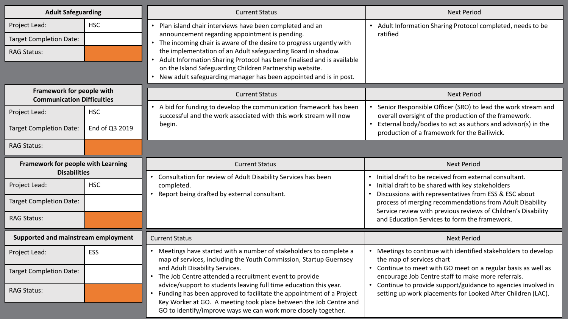| <b>Adult Safeguarding</b>                                      |                | <b>Current Status</b>                                                                                                                                                                                                                                                                                                                                                                                                                                | <b>Next Period</b>                                                                                                          |
|----------------------------------------------------------------|----------------|------------------------------------------------------------------------------------------------------------------------------------------------------------------------------------------------------------------------------------------------------------------------------------------------------------------------------------------------------------------------------------------------------------------------------------------------------|-----------------------------------------------------------------------------------------------------------------------------|
| Project Lead:                                                  | <b>HSC</b>     | Plan island chair interviews have been completed and an                                                                                                                                                                                                                                                                                                                                                                                              | Adult Information Sharing Protocol completed, needs to be                                                                   |
| <b>Target Completion Date:</b>                                 |                | announcement regarding appointment is pending.<br>The incoming chair is aware of the desire to progress urgently with                                                                                                                                                                                                                                                                                                                                | ratified                                                                                                                    |
| <b>RAG Status:</b>                                             |                | the implementation of an Adult safeguarding Board in shadow.<br>Adult Information Sharing Protocol has bene finalised and is available                                                                                                                                                                                                                                                                                                               |                                                                                                                             |
|                                                                |                | on the Island Safeguarding Children Partnership website.<br>New adult safeguarding manager has been appointed and is in post.                                                                                                                                                                                                                                                                                                                        |                                                                                                                             |
|                                                                |                |                                                                                                                                                                                                                                                                                                                                                                                                                                                      |                                                                                                                             |
| Framework for people with<br><b>Communication Difficulties</b> |                | <b>Current Status</b>                                                                                                                                                                                                                                                                                                                                                                                                                                | <b>Next Period</b>                                                                                                          |
| Project Lead:                                                  | <b>HSC</b>     | A bid for funding to develop the communication framework has been<br>successful and the work associated with this work stream will now                                                                                                                                                                                                                                                                                                               | Senior Responsible Officer (SRO) to lead the work stream and<br>overall oversight of the production of the framework.       |
| <b>Target Completion Date:</b>                                 | End of Q3 2019 | begin.                                                                                                                                                                                                                                                                                                                                                                                                                                               | External body/bodies to act as authors and advisor(s) in the<br>production of a framework for the Bailiwick.                |
| <b>RAG Status:</b>                                             |                |                                                                                                                                                                                                                                                                                                                                                                                                                                                      |                                                                                                                             |
| Framework for people with Learning                             |                | <b>Current Status</b>                                                                                                                                                                                                                                                                                                                                                                                                                                | <b>Next Period</b>                                                                                                          |
| <b>Disabilities</b>                                            |                | Consultation for review of Adult Disability Services has been                                                                                                                                                                                                                                                                                                                                                                                        | • Initial draft to be received from external consultant.                                                                    |
| Project Lead:                                                  | <b>HSC</b>     | completed.<br>Report being drafted by external consultant.                                                                                                                                                                                                                                                                                                                                                                                           | Initial draft to be shared with key stakeholders<br>Discussions with representatives from ESS & ESC about                   |
| <b>Target Completion Date:</b>                                 |                |                                                                                                                                                                                                                                                                                                                                                                                                                                                      | process of merging recommendations from Adult Disability<br>Service review with previous reviews of Children's Disability   |
| <b>RAG Status:</b>                                             |                |                                                                                                                                                                                                                                                                                                                                                                                                                                                      | and Education Services to form the framework.                                                                               |
| Supported and mainstream employment                            |                | <b>Current Status</b>                                                                                                                                                                                                                                                                                                                                                                                                                                | <b>Next Period</b>                                                                                                          |
| Project Lead:                                                  | <b>ESS</b>     | Meetings have started with a number of stakeholders to complete a<br>map of services, including the Youth Commission, Startup Guernsey<br>and Adult Disability Services.<br>The Job Centre attended a recruitment event to provide<br>advice/support to students leaving full time education this year.<br>Funding has been approved to facilitate the appointment of a Project<br>Key Worker at GO. A meeting took place between the Job Centre and | • Meetings to continue with identified stakeholders to develop<br>the map of services chart                                 |
| Target Completion Date:                                        |                |                                                                                                                                                                                                                                                                                                                                                                                                                                                      | • Continue to meet with GO meet on a regular basis as well as<br>encourage Job Centre staff to make more referrals.         |
| <b>RAG Status:</b>                                             |                |                                                                                                                                                                                                                                                                                                                                                                                                                                                      | Continue to provide support/guidance to agencies involved in<br>setting up work placements for Looked After Children (LAC). |
|                                                                |                | GO to identify/improve ways we can work more closely together.                                                                                                                                                                                                                                                                                                                                                                                       |                                                                                                                             |